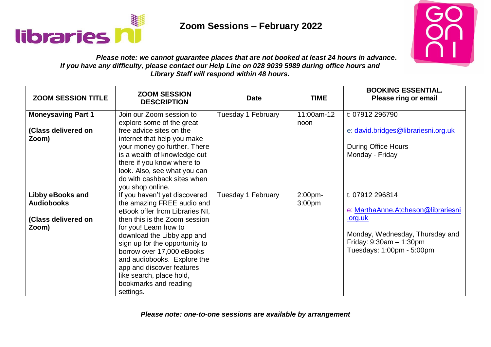



### *Please note: we cannot guarantee places that are not booked at least 24 hours in advance. If you have any difficulty, please contact our Help Line on 028 9039 5989 during office hours and Library Staff will respond within 48 hours.*

| <b>ZOOM SESSION TITLE</b>                                             | <b>ZOOM SESSION</b><br><b>DESCRIPTION</b>                                                                                                                                                                                                                                                                                                                                          | <b>Date</b>        | <b>TIME</b>                   | <b>BOOKING ESSENTIAL.</b><br>Please ring or email                                                                                                                    |
|-----------------------------------------------------------------------|------------------------------------------------------------------------------------------------------------------------------------------------------------------------------------------------------------------------------------------------------------------------------------------------------------------------------------------------------------------------------------|--------------------|-------------------------------|----------------------------------------------------------------------------------------------------------------------------------------------------------------------|
| <b>Moneysaving Part 1</b><br>(Class delivered on<br>Zoom)             | Join our Zoom session to<br>explore some of the great<br>free advice sites on the<br>internet that help you make<br>your money go further. There<br>is a wealth of knowledge out<br>there if you know where to<br>look. Also, see what you can<br>do with cashback sites when<br>you shop online.                                                                                  | Tuesday 1 February | 11:00am-12<br>noon            | t: 07912 296790<br>e: david.bridges@librariesni.org.uk<br><b>During Office Hours</b><br>Monday - Friday                                                              |
| Libby eBooks and<br><b>Audiobooks</b><br>(Class delivered on<br>Zoom) | If you haven't yet discovered<br>the amazing FREE audio and<br>eBook offer from Libraries NI,<br>then this is the Zoom session<br>for you! Learn how to<br>download the Libby app and<br>sign up for the opportunity to<br>borrow over 17,000 eBooks<br>and audiobooks. Explore the<br>app and discover features<br>like search, place hold,<br>bookmarks and reading<br>settings. | Tuesday 1 February | 2:00pm-<br>3:00 <sub>pm</sub> | t. 07912 296814<br>e: MarthaAnne.Atcheson@librariesni<br><u>.org.uk</u><br>Monday, Wednesday, Thursday and<br>Friday: $9:30am - 1:30pm$<br>Tuesdays: 1:00pm - 5:00pm |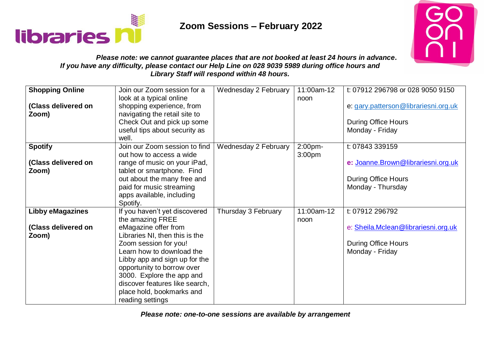



### *Please note: we cannot guarantee places that are not booked at least 24 hours in advance. If you have any difficulty, please contact our Help Line on 028 9039 5989 during office hours and Library Staff will respond within 48 hours.*

| <b>Shopping Online</b><br>(Class delivered on<br>Zoom)  | Join our Zoom session for a<br>look at a typical online<br>shopping experience, from<br>navigating the retail site to<br>Check Out and pick up some<br>useful tips about security as<br>well.                                                                                                                                                    | Wednesday 2 February | 11:00am-12<br>noon            | t: 07912 296798 or 028 9050 9150<br>e: gary.patterson@librariesni.org.uk<br><b>During Office Hours</b><br>Monday - Friday |
|---------------------------------------------------------|--------------------------------------------------------------------------------------------------------------------------------------------------------------------------------------------------------------------------------------------------------------------------------------------------------------------------------------------------|----------------------|-------------------------------|---------------------------------------------------------------------------------------------------------------------------|
| <b>Spotify</b><br>(Class delivered on<br>Zoom)          | Join our Zoom session to find<br>out how to access a wide<br>range of music on your iPad,<br>tablet or smartphone. Find<br>out about the many free and<br>paid for music streaming<br>apps available, including<br>Spotify.                                                                                                                      | Wednesday 2 February | 2:00pm-<br>3:00 <sub>pm</sub> | t: 07843 339159<br>e: Joanne.Brown@librariesni.org.uk<br><b>During Office Hours</b><br>Monday - Thursday                  |
| <b>Libby eMagazines</b><br>(Class delivered on<br>Zoom) | If you haven't yet discovered<br>the amazing FREE<br>eMagazine offer from<br>Libraries NI, then this is the<br>Zoom session for you!<br>Learn how to download the<br>Libby app and sign up for the<br>opportunity to borrow over<br>3000. Explore the app and<br>discover features like search,<br>place hold, bookmarks and<br>reading settings | Thursday 3 February  | 11:00am-12<br>noon            | t: 07912 296792<br>e: Sheila.Mclean@librariesni.org.uk<br><b>During Office Hours</b><br>Monday - Friday                   |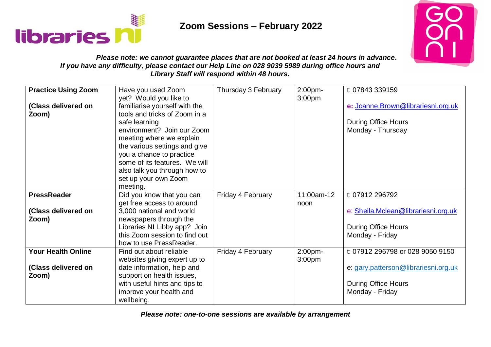



### *Please note: we cannot guarantee places that are not booked at least 24 hours in advance. If you have any difficulty, please contact our Help Line on 028 9039 5989 during office hours and Library Staff will respond within 48 hours.*

| <b>Practice Using Zoom</b><br>(Class delivered on<br>Zoom) | Have you used Zoom<br>yet? Would you like to<br>familiarise yourself with the<br>tools and tricks of Zoom in a<br>safe learning<br>environment? Join our Zoom                                            | Thursday 3 February | 2:00pm-<br>3:00 <sub>pm</sub> | t: 07843 339159<br>e: Joanne.Brown@librariesni.org.uk<br><b>During Office Hours</b><br>Monday - Thursday                  |
|------------------------------------------------------------|----------------------------------------------------------------------------------------------------------------------------------------------------------------------------------------------------------|---------------------|-------------------------------|---------------------------------------------------------------------------------------------------------------------------|
|                                                            | meeting where we explain<br>the various settings and give<br>you a chance to practice<br>some of its features. We will<br>also talk you through how to<br>set up your own Zoom<br>meeting.               |                     |                               |                                                                                                                           |
| <b>PressReader</b><br>(Class delivered on<br>Zoom)         | Did you know that you can<br>get free access to around<br>3,000 national and world<br>newspapers through the<br>Libraries NI Libby app? Join<br>this Zoom session to find out<br>how to use PressReader. | Friday 4 February   | 11:00am-12<br>noon            | t: 07912 296792<br>e: Sheila.Mclean@librariesni.org.uk<br><b>During Office Hours</b><br>Monday - Friday                   |
| <b>Your Health Online</b><br>(Class delivered on<br>Zoom)  | Find out about reliable<br>websites giving expert up to<br>date information, help and<br>support on health issues,<br>with useful hints and tips to<br>improve your health and<br>wellbeing.             | Friday 4 February   | 2:00pm-<br>3:00 <sub>pm</sub> | t: 07912 296798 or 028 9050 9150<br>e: gary.patterson@librariesni.org.uk<br><b>During Office Hours</b><br>Monday - Friday |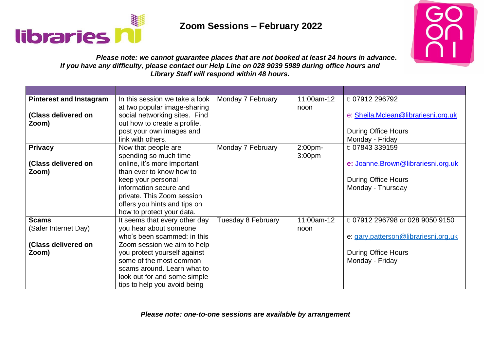



### *Please note: we cannot guarantee places that are not booked at least 24 hours in advance. If you have any difficulty, please contact our Help Line on 028 9039 5989 during office hours and Library Staff will respond within 48 hours.*

| <b>Pinterest and Instagram</b> | In this session we take a look | Monday 7 February  | 11:00am-12         | t: 07912 296792                      |
|--------------------------------|--------------------------------|--------------------|--------------------|--------------------------------------|
|                                | at two popular image-sharing   |                    | noon               |                                      |
| (Class delivered on            | social networking sites. Find  |                    |                    | e: Sheila.Mclean@librariesni.org.uk  |
| Zoom)                          | out how to create a profile,   |                    |                    |                                      |
|                                | post your own images and       |                    |                    | <b>During Office Hours</b>           |
|                                | link with others.              |                    |                    | Monday - Friday                      |
| <b>Privacy</b>                 | Now that people are            | Monday 7 February  | 2:00pm-            | t: 07843 339159                      |
|                                | spending so much time          |                    | 3:00 <sub>pm</sub> |                                      |
| (Class delivered on            | online, it's more important    |                    |                    | e: Joanne.Brown@librariesni.org.uk   |
| Zoom)                          | than ever to know how to       |                    |                    |                                      |
|                                | keep your personal             |                    |                    | <b>During Office Hours</b>           |
|                                | information secure and         |                    |                    | Monday - Thursday                    |
|                                | private. This Zoom session     |                    |                    |                                      |
|                                | offers you hints and tips on   |                    |                    |                                      |
|                                | how to protect your data.      |                    |                    |                                      |
| <b>Scams</b>                   | It seems that every other day  | Tuesday 8 February | 11:00am-12         | t: 07912 296798 or 028 9050 9150     |
| (Safer Internet Day)           | you hear about someone         |                    | noon               |                                      |
|                                | who's been scammed: in this    |                    |                    | e: gary.patterson@librariesni.org.uk |
| (Class delivered on            | Zoom session we aim to help    |                    |                    |                                      |
| Zoom)                          | you protect yourself against   |                    |                    | <b>During Office Hours</b>           |
|                                | some of the most common        |                    |                    | Monday - Friday                      |
|                                | scams around. Learn what to    |                    |                    |                                      |
|                                | look out for and some simple   |                    |                    |                                      |
|                                | tips to help you avoid being   |                    |                    |                                      |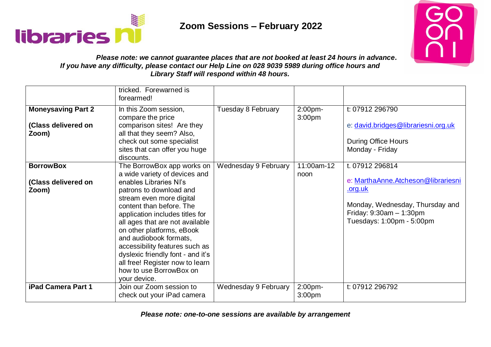



### *Please note: we cannot guarantee places that are not booked at least 24 hours in advance. If you have any difficulty, please contact our Help Line on 028 9039 5989 during office hours and Library Staff will respond within 48 hours.*

|                                                           | tricked. Forewarned is<br>forearmed!                                                                                                                                                                                                                                                                                                                                                                                                                       |                      |                                  |                                                                                                                                                                      |
|-----------------------------------------------------------|------------------------------------------------------------------------------------------------------------------------------------------------------------------------------------------------------------------------------------------------------------------------------------------------------------------------------------------------------------------------------------------------------------------------------------------------------------|----------------------|----------------------------------|----------------------------------------------------------------------------------------------------------------------------------------------------------------------|
| <b>Moneysaving Part 2</b><br>(Class delivered on<br>Zoom) | In this Zoom session,<br>compare the price<br>comparison sites! Are they<br>all that they seem? Also,<br>check out some specialist<br>sites that can offer you huge<br>discounts.                                                                                                                                                                                                                                                                          | Tuesday 8 February   | 2:00pm-<br>3:00 <sub>pm</sub>    | t: 07912 296790<br>e: david.bridges@librariesni.org.uk<br><b>During Office Hours</b><br>Monday - Friday                                                              |
| <b>BorrowBox</b><br>(Class delivered on<br>Zoom)          | The BorrowBox app works on<br>a wide variety of devices and<br>enables Libraries NI's<br>patrons to download and<br>stream even more digital<br>content than before. The<br>application includes titles for<br>all ages that are not available<br>on other platforms, eBook<br>and audiobook formats,<br>accessibility features such as<br>dyslexic friendly font - and it's<br>all free! Register now to learn<br>how to use BorrowBox on<br>your device. | Wednesday 9 February | $\overline{11}$ :00am-12<br>noon | t. 07912 296814<br>e: MarthaAnne.Atcheson@librariesni<br><u>.org.uk</u><br>Monday, Wednesday, Thursday and<br>Friday: $9:30am - 1:30pm$<br>Tuesdays: 1:00pm - 5:00pm |
| <b>iPad Camera Part 1</b>                                 | Join our Zoom session to<br>check out your iPad camera                                                                                                                                                                                                                                                                                                                                                                                                     | Wednesday 9 February | 2:00pm-<br>3:00pm                | t: 07912 296792                                                                                                                                                      |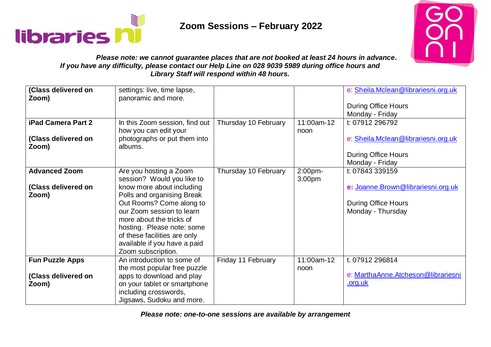



### *Please note: we cannot guarantee places that are not booked at least 24 hours in advance. If you have any difficulty, please contact our Help Line on 028 9039 5989 during office hours and Library Staff will respond within 48 hours.*

| (Class delivered on<br>Zoom)<br><b>iPad Camera Part 2</b><br>(Class delivered on<br>Zoom) | settings: live, time lapse,<br>panoramic and more.<br>In this Zoom session, find out<br>how you can edit your<br>photographs or put them into<br>albums.                                                                                                                                                                 | Thursday 10 February | 11:00am-12<br>noon            | e: Sheila.Mclean@librariesni.org.uk<br><b>During Office Hours</b><br>Monday - Friday<br>t: 07912 296792<br>e: Sheila.Mclean@librariesni.org.uk |
|-------------------------------------------------------------------------------------------|--------------------------------------------------------------------------------------------------------------------------------------------------------------------------------------------------------------------------------------------------------------------------------------------------------------------------|----------------------|-------------------------------|------------------------------------------------------------------------------------------------------------------------------------------------|
|                                                                                           |                                                                                                                                                                                                                                                                                                                          |                      |                               | <b>During Office Hours</b><br>Monday - Friday                                                                                                  |
| <b>Advanced Zoom</b><br>(Class delivered on<br>Zoom)                                      | Are you hosting a Zoom<br>session? Would you like to<br>know more about including<br>Polls and organising Break<br>Out Rooms? Come along to<br>our Zoom session to learn<br>more about the tricks of<br>hosting. Please note: some<br>of these facilities are only<br>available if you have a paid<br>Zoom subscription. | Thursday 10 February | 2:00pm-<br>3:00 <sub>pm</sub> | t: 07843 339159<br>e: Joanne.Brown@librariesni.org.uk<br><b>During Office Hours</b><br>Monday - Thursday                                       |
| <b>Fun Puzzle Apps</b><br>(Class delivered on<br>Zoom)                                    | An introduction to some of<br>the most popular free puzzle<br>apps to download and play<br>on your tablet or smartphone<br>including crosswords,<br>Jigsaws, Sudoku and more.                                                                                                                                            | Friday 11 February   | 11:00am-12<br>noon            | t. 07912 296814<br>e: MarthaAnne.Atcheson@librariesni<br><u>.org.uk</u>                                                                        |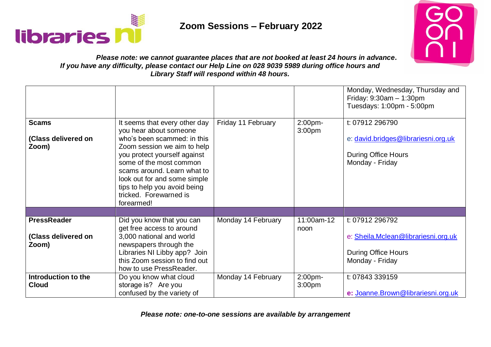



#### *Please note: we cannot guarantee places that are not booked at least 24 hours in advance. If you have any difficulty, please contact our Help Line on 028 9039 5989 during office hours and Library Staff will respond within 48 hours.*

|                                                    |                                                                                                                                                                                                                                                                                                                         |                    |                               | Monday, Wednesday, Thursday and<br>Friday: $9:30am - 1:30pm$<br>Tuesdays: 1:00pm - 5:00pm               |
|----------------------------------------------------|-------------------------------------------------------------------------------------------------------------------------------------------------------------------------------------------------------------------------------------------------------------------------------------------------------------------------|--------------------|-------------------------------|---------------------------------------------------------------------------------------------------------|
| <b>Scams</b><br>(Class delivered on<br>Zoom)       | It seems that every other day<br>you hear about someone<br>who's been scammed: in this<br>Zoom session we aim to help<br>you protect yourself against<br>some of the most common<br>scams around. Learn what to<br>look out for and some simple<br>tips to help you avoid being<br>tricked. Forewarned is<br>forearmed! | Friday 11 February | 2:00pm-<br>3:00 <sub>pm</sub> | t: 07912 296790<br>e: david.bridges@librariesni.org.uk<br><b>During Office Hours</b><br>Monday - Friday |
|                                                    |                                                                                                                                                                                                                                                                                                                         |                    |                               |                                                                                                         |
| <b>PressReader</b><br>(Class delivered on<br>Zoom) | Did you know that you can<br>get free access to around<br>3,000 national and world<br>newspapers through the<br>Libraries NI Libby app? Join<br>this Zoom session to find out<br>how to use PressReader.                                                                                                                | Monday 14 February | 11:00am-12<br>noon            | t: 07912 296792<br>e: Sheila.Mclean@librariesni.org.uk<br><b>During Office Hours</b><br>Monday - Friday |
| Introduction to the<br><b>Cloud</b>                | Do you know what cloud<br>storage is? Are you<br>confused by the variety of                                                                                                                                                                                                                                             | Monday 14 February | 2:00pm-<br>3:00 <sub>pm</sub> | t: 07843 339159<br>e: Joanne.Brown@librariesni.org.uk                                                   |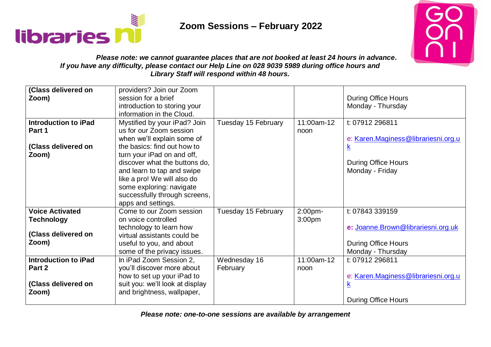



### *Please note: we cannot guarantee places that are not booked at least 24 hours in advance. If you have any difficulty, please contact our Help Line on 028 9039 5989 during office hours and Library Staff will respond within 48 hours.*

| (Class delivered on<br>Zoom)                                                | providers? Join our Zoom<br>session for a brief<br>introduction to storing your<br>information in the Cloud.                                                                                                |                          |                               | <b>During Office Hours</b><br>Monday - Thursday                                                          |
|-----------------------------------------------------------------------------|-------------------------------------------------------------------------------------------------------------------------------------------------------------------------------------------------------------|--------------------------|-------------------------------|----------------------------------------------------------------------------------------------------------|
| <b>Introduction to iPad</b><br>Part 1<br>(Class delivered on                | Mystified by your iPad? Join<br>us for our Zoom session<br>when we'll explain some of<br>the basics: find out how to                                                                                        | Tuesday 15 February      | 11:00am-12<br>noon            | t: 07912 296811<br>e: Karen.Maginess@librariesni.org.u<br>$\mathsf{k}$                                   |
| Zoom)                                                                       | turn your iPad on and off,<br>discover what the buttons do,<br>and learn to tap and swipe<br>like a pro! We will also do<br>some exploring: navigate<br>successfully through screens,<br>apps and settings. |                          |                               | <b>During Office Hours</b><br>Monday - Friday                                                            |
| <b>Voice Activated</b><br><b>Technology</b><br>(Class delivered on<br>Zoom) | Come to our Zoom session<br>on voice controlled<br>technology to learn how<br>virtual assistants could be<br>useful to you, and about<br>some of the privacy issues.                                        | Tuesday 15 February      | 2:00pm-<br>3:00 <sub>pm</sub> | t: 07843 339159<br>e: Joanne.Brown@librariesni.org.uk<br><b>During Office Hours</b><br>Monday - Thursday |
| <b>Introduction to iPad</b><br>Part 2<br>(Class delivered on<br>Zoom)       | In iPad Zoom Session 2,<br>you'll discover more about<br>how to set up your iPad to<br>suit you: we'll look at display<br>and brightness, wallpaper,                                                        | Wednesday 16<br>February | 11:00am-12<br>noon            | t: 07912 296811<br>e: Karen.Maginess@librariesni.org.u<br><u>k</u><br><b>During Office Hours</b>         |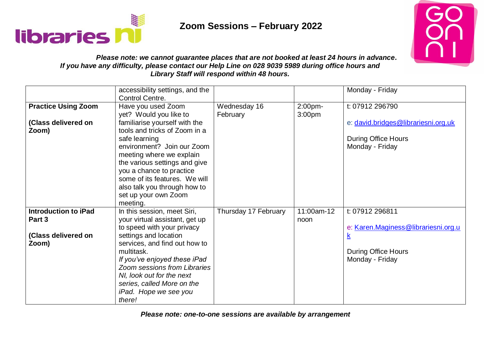



### *Please note: we cannot guarantee places that are not booked at least 24 hours in advance. If you have any difficulty, please contact our Help Line on 028 9039 5989 during office hours and Library Staff will respond within 48 hours.*

|                             | accessibility settings, and the |                      |                    | Monday - Friday                     |
|-----------------------------|---------------------------------|----------------------|--------------------|-------------------------------------|
|                             | Control Centre.                 |                      |                    |                                     |
| <b>Practice Using Zoom</b>  | Have you used Zoom              | Wednesday 16         | 2:00pm-            | t: 07912 296790                     |
|                             | yet? Would you like to          | February             | 3:00 <sub>pm</sub> |                                     |
| (Class delivered on         | familiarise yourself with the   |                      |                    | e: david.bridges@librariesni.org.uk |
| Zoom)                       | tools and tricks of Zoom in a   |                      |                    |                                     |
|                             | safe learning                   |                      |                    | <b>During Office Hours</b>          |
|                             | environment? Join our Zoom      |                      |                    | Monday - Friday                     |
|                             | meeting where we explain        |                      |                    |                                     |
|                             | the various settings and give   |                      |                    |                                     |
|                             | you a chance to practice        |                      |                    |                                     |
|                             | some of its features. We will   |                      |                    |                                     |
|                             | also talk you through how to    |                      |                    |                                     |
|                             | set up your own Zoom            |                      |                    |                                     |
|                             | meeting.                        |                      |                    |                                     |
| <b>Introduction to iPad</b> | In this session, meet Siri,     | Thursday 17 February | 11:00am-12         | t: 07912 296811                     |
| Part 3                      | your virtual assistant, get up  |                      | noon               |                                     |
|                             | to speed with your privacy      |                      |                    | e: Karen.Maginess@librariesni.org.u |
| (Class delivered on         | settings and location           |                      |                    |                                     |
| Zoom)                       | services, and find out how to   |                      |                    |                                     |
|                             | multitask.                      |                      |                    | <b>During Office Hours</b>          |
|                             | If you've enjoyed these iPad    |                      |                    | Monday - Friday                     |
|                             | Zoom sessions from Libraries    |                      |                    |                                     |
|                             | NI, look out for the next       |                      |                    |                                     |
|                             | series, called More on the      |                      |                    |                                     |
|                             | iPad. Hope we see you           |                      |                    |                                     |
|                             | there!                          |                      |                    |                                     |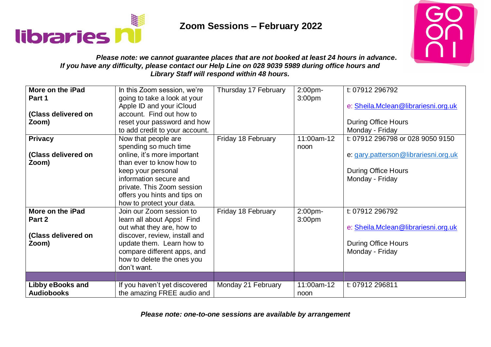



### *Please note: we cannot guarantee places that are not booked at least 24 hours in advance. If you have any difficulty, please contact our Help Line on 028 9039 5989 during office hours and Library Staff will respond within 48 hours.*

| More on the iPad        | In this Zoom session, we're    | Thursday 17 February | 2:00pm-            | t: 07912 296792                      |
|-------------------------|--------------------------------|----------------------|--------------------|--------------------------------------|
| Part 1                  | going to take a look at your   |                      | 3:00 <sub>pm</sub> |                                      |
|                         | Apple ID and your iCloud       |                      |                    | e: Sheila.Mclean@librariesni.org.uk  |
| (Class delivered on     | account. Find out how to       |                      |                    |                                      |
| Zoom)                   | reset your password and how    |                      |                    | <b>During Office Hours</b>           |
|                         | to add credit to your account. |                      |                    | Monday - Friday                      |
| <b>Privacy</b>          | Now that people are            | Friday 18 February   | 11:00am-12         | t: 07912 296798 or 028 9050 9150     |
|                         | spending so much time          |                      | noon               |                                      |
| (Class delivered on     | online, it's more important    |                      |                    | e: gary.patterson@librariesni.org.uk |
| Zoom)                   | than ever to know how to       |                      |                    |                                      |
|                         | keep your personal             |                      |                    | <b>During Office Hours</b>           |
|                         | information secure and         |                      |                    | Monday - Friday                      |
|                         | private. This Zoom session     |                      |                    |                                      |
|                         | offers you hints and tips on   |                      |                    |                                      |
|                         | how to protect your data.      |                      |                    |                                      |
| More on the iPad        | Join our Zoom session to       | Friday 18 February   | 2:00pm-            | t: 07912 296792                      |
| Part 2                  | learn all about Apps! Find     |                      | 3:00 <sub>pm</sub> |                                      |
|                         | out what they are, how to      |                      |                    | e: Sheila.Mclean@librariesni.org.uk  |
| (Class delivered on     | discover, review, install and  |                      |                    |                                      |
| Zoom)                   | update them. Learn how to      |                      |                    | <b>During Office Hours</b>           |
|                         | compare different apps, and    |                      |                    | Monday - Friday                      |
|                         | how to delete the ones you     |                      |                    |                                      |
|                         | don't want.                    |                      |                    |                                      |
|                         |                                |                      |                    |                                      |
| <b>Libby eBooks and</b> | If you haven't yet discovered  | Monday 21 February   | 11:00am-12         | t: 07912 296811                      |
| <b>Audiobooks</b>       | the amazing FREE audio and     |                      | noon               |                                      |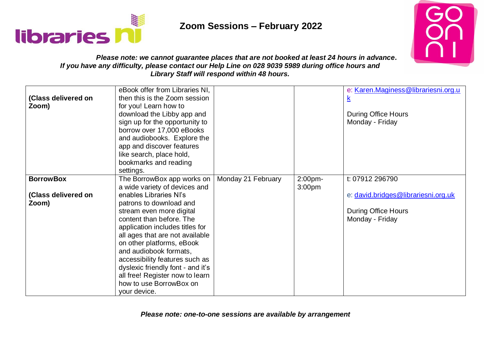



### *Please note: we cannot guarantee places that are not booked at least 24 hours in advance. If you have any difficulty, please contact our Help Line on 028 9039 5989 during office hours and Library Staff will respond within 48 hours.*

| (Class delivered on<br>Zoom)                     | eBook offer from Libraries NI,<br>then this is the Zoom session<br>for you! Learn how to<br>download the Libby app and<br>sign up for the opportunity to<br>borrow over 17,000 eBooks<br>and audiobooks. Explore the<br>app and discover features<br>like search, place hold,<br>bookmarks and reading<br>settings.                                                                                                                                        |                    |                   | e: Karen.Maginess@librariesni.org.u<br><u>k</u><br><b>During Office Hours</b><br>Monday - Friday        |
|--------------------------------------------------|------------------------------------------------------------------------------------------------------------------------------------------------------------------------------------------------------------------------------------------------------------------------------------------------------------------------------------------------------------------------------------------------------------------------------------------------------------|--------------------|-------------------|---------------------------------------------------------------------------------------------------------|
| <b>BorrowBox</b><br>(Class delivered on<br>Zoom) | The BorrowBox app works on<br>a wide variety of devices and<br>enables Libraries NI's<br>patrons to download and<br>stream even more digital<br>content than before. The<br>application includes titles for<br>all ages that are not available<br>on other platforms, eBook<br>and audiobook formats,<br>accessibility features such as<br>dyslexic friendly font - and it's<br>all free! Register now to learn<br>how to use BorrowBox on<br>your device. | Monday 21 February | 2:00pm-<br>3:00pm | t: 07912 296790<br>e: david.bridges@librariesni.org.uk<br><b>During Office Hours</b><br>Monday - Friday |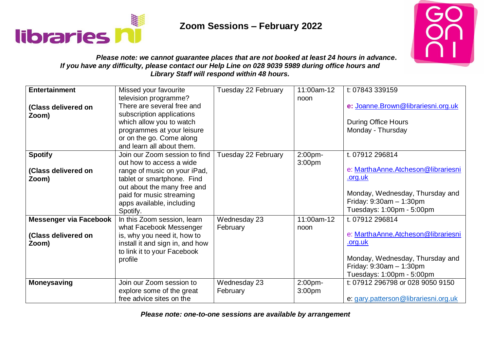



### *Please note: we cannot guarantee places that are not booked at least 24 hours in advance. If you have any difficulty, please contact our Help Line on 028 9039 5989 during office hours and Library Staff will respond within 48 hours.*

| <b>Entertainment</b><br>(Class delivered on<br>Zoom)          | Missed your favourite<br>television programme?<br>There are several free and<br>subscription applications<br>which allow you to watch<br>programmes at your leisure                                                         | Tuesday 22 February      | $11:00$ am-12<br>noon         | t: 07843 339159<br>e: Joanne.Brown@librariesni.org.uk<br><b>During Office Hours</b><br>Monday - Thursday                                                             |
|---------------------------------------------------------------|-----------------------------------------------------------------------------------------------------------------------------------------------------------------------------------------------------------------------------|--------------------------|-------------------------------|----------------------------------------------------------------------------------------------------------------------------------------------------------------------|
|                                                               | or on the go. Come along<br>and learn all about them.                                                                                                                                                                       |                          |                               |                                                                                                                                                                      |
| <b>Spotify</b><br>(Class delivered on<br>Zoom)                | Join our Zoom session to find<br>out how to access a wide<br>range of music on your iPad,<br>tablet or smartphone. Find<br>out about the many free and<br>paid for music streaming<br>apps available, including<br>Spotify. | Tuesday 22 February      | 2:00pm-<br>3:00pm             | t. 07912 296814<br>e: MarthaAnne.Atcheson@librariesni<br><u>.org.uk</u><br>Monday, Wednesday, Thursday and<br>Friday: $9:30am - 1:30pm$<br>Tuesdays: 1:00pm - 5:00pm |
| <b>Messenger via Facebook</b><br>(Class delivered on<br>Zoom) | In this Zoom session, learn<br>what Facebook Messenger<br>is, why you need it, how to<br>install it and sign in, and how<br>to link it to your Facebook<br>profile                                                          | Wednesday 23<br>February | 11:00am-12<br>noon            | t. 07912 296814<br>e: MarthaAnne.Atcheson@librariesni<br>.org.uk<br>Monday, Wednesday, Thursday and<br>Friday: $9:30am - 1:30pm$<br>Tuesdays: 1:00pm - 5:00pm        |
| <b>Moneysaving</b>                                            | Join our Zoom session to<br>explore some of the great<br>free advice sites on the                                                                                                                                           | Wednesday 23<br>February | 2:00pm-<br>3:00 <sub>pm</sub> | t: 07912 296798 or 028 9050 9150<br>e: gary.patterson@librariesni.org.uk                                                                                             |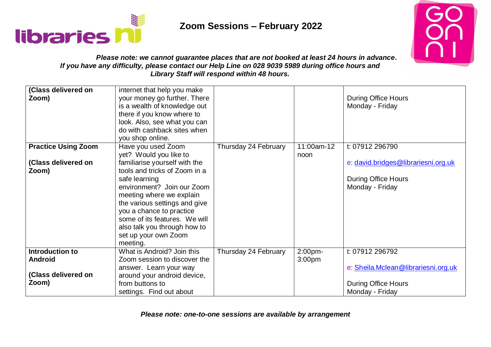



### *Please note: we cannot guarantee places that are not booked at least 24 hours in advance. If you have any difficulty, please contact our Help Line on 028 9039 5989 during office hours and Library Staff will respond within 48 hours.*

| (Class delivered on<br>Zoom)                                      | internet that help you make<br>your money go further. There<br>is a wealth of knowledge out<br>there if you know where to<br>look. Also, see what you can<br>do with cashback sites when<br>you shop online.                                                                            |                      |                    | <b>During Office Hours</b><br>Monday - Friday                                                           |
|-------------------------------------------------------------------|-----------------------------------------------------------------------------------------------------------------------------------------------------------------------------------------------------------------------------------------------------------------------------------------|----------------------|--------------------|---------------------------------------------------------------------------------------------------------|
| <b>Practice Using Zoom</b><br>(Class delivered on<br>Zoom)        | Have you used Zoom<br>yet? Would you like to<br>familiarise yourself with the<br>tools and tricks of Zoom in a<br>safe learning<br>environment? Join our Zoom<br>meeting where we explain<br>the various settings and give<br>you a chance to practice<br>some of its features. We will | Thursday 24 February | 11:00am-12<br>noon | t: 07912 296790<br>e: david.bridges@librariesni.org.uk<br><b>During Office Hours</b><br>Monday - Friday |
|                                                                   | also talk you through how to<br>set up your own Zoom<br>meeting.                                                                                                                                                                                                                        |                      |                    |                                                                                                         |
| Introduction to<br><b>Android</b><br>(Class delivered on<br>Zoom) | What is Android? Join this<br>Zoom session to discover the<br>answer. Learn your way<br>around your android device,<br>from buttons to<br>settings. Find out about                                                                                                                      | Thursday 24 February | 2:00pm-<br>3:00pm  | t: 07912 296792<br>e: Sheila.Mclean@librariesni.org.uk<br><b>During Office Hours</b><br>Monday - Friday |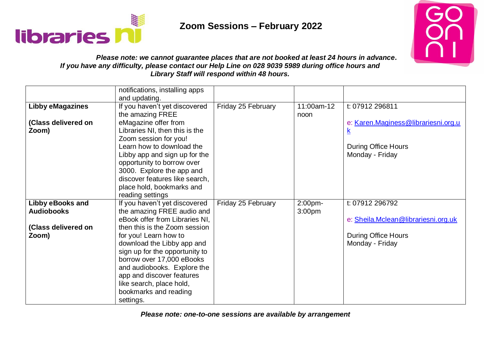



### *Please note: we cannot guarantee places that are not booked at least 24 hours in advance. If you have any difficulty, please contact our Help Line on 028 9039 5989 during office hours and Library Staff will respond within 48 hours.*

|                         | notifications, installing apps |                    |                    |                                     |
|-------------------------|--------------------------------|--------------------|--------------------|-------------------------------------|
|                         | and updating.                  |                    |                    |                                     |
| <b>Libby eMagazines</b> | If you haven't yet discovered  | Friday 25 February | 11:00am-12         | t: 07912 296811                     |
|                         | the amazing FREE               |                    | noon               |                                     |
| (Class delivered on     | eMagazine offer from           |                    |                    | e: Karen.Maginess@librariesni.org.u |
| Zoom)                   | Libraries NI, then this is the |                    |                    | <u>к</u>                            |
|                         | Zoom session for you!          |                    |                    |                                     |
|                         | Learn how to download the      |                    |                    | <b>During Office Hours</b>          |
|                         | Libby app and sign up for the  |                    |                    | Monday - Friday                     |
|                         | opportunity to borrow over     |                    |                    |                                     |
|                         | 3000. Explore the app and      |                    |                    |                                     |
|                         | discover features like search, |                    |                    |                                     |
|                         | place hold, bookmarks and      |                    |                    |                                     |
|                         | reading settings               |                    |                    |                                     |
| <b>Libby eBooks and</b> | If you haven't yet discovered  | Friday 25 February | 2:00pm-            | t: 07912 296792                     |
| <b>Audiobooks</b>       | the amazing FREE audio and     |                    | 3:00 <sub>pm</sub> |                                     |
|                         | eBook offer from Libraries NI, |                    |                    | e: Sheila.Mclean@librariesni.org.uk |
| (Class delivered on     | then this is the Zoom session  |                    |                    |                                     |
| Zoom)                   | for you! Learn how to          |                    |                    | <b>During Office Hours</b>          |
|                         | download the Libby app and     |                    |                    | Monday - Friday                     |
|                         | sign up for the opportunity to |                    |                    |                                     |
|                         | borrow over 17,000 eBooks      |                    |                    |                                     |
|                         | and audiobooks. Explore the    |                    |                    |                                     |
|                         | app and discover features      |                    |                    |                                     |
|                         | like search, place hold,       |                    |                    |                                     |
|                         | bookmarks and reading          |                    |                    |                                     |
|                         | settings.                      |                    |                    |                                     |